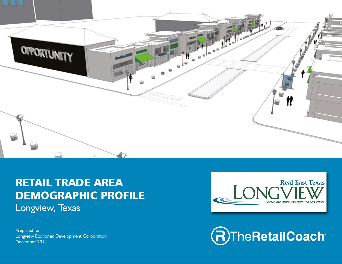

# RETAIL TRADE AREA DEMOGRAPHIC PROFILE Longview, Texas

Prepared for Longview Economic Development Corporation December 2014



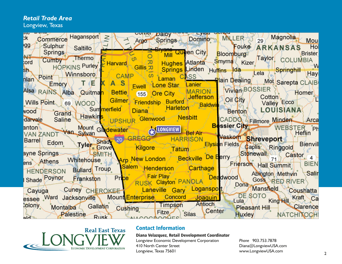#### *Retail Trade Area*

Longview, Texas



## **Real East Texas** 410 North Center Street FCONOMIC DEVELOPMENT CORPORATION TO LATER SET SET SET THE SET SET OF THE SET OF REAL PROPERTY OF THE SET OF THE SET OF THE SET OF THE SET OF THE SET OF THE SET OF THE SET OF THE SET OF THE SET OF THE SET OF THE SET OF THE

#### Contact Information

#### Diana Velazquez, Retail Development Coordinator

Exercise Belizer Marin Contract Contract Contract Contract Contract Contract Contract Contract Contract Contract Contract Contract Contract Contract Contract Contract Contract Contract Contract Contract Contract Contract C Longview Economic Development Corporation Longview, Texas 75601

0 mi 20 40 60 *Phone* 903.753.7878 Diana@LongviewUSA.com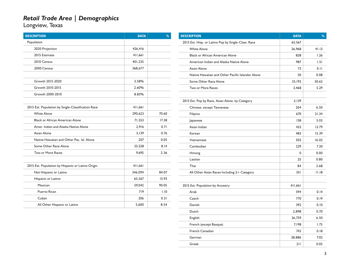Longview, Texas

| <b>DESCRIPTION</b>                                 | <b>DATA</b> | $\frac{9}{0}$ |
|----------------------------------------------------|-------------|---------------|
| Population                                         |             |               |
| 2020 Projection                                    | 426,416     |               |
| 2015 Estimate                                      | 411,661     |               |
| 2010 Census                                        | 401,235     |               |
| 2000 Census                                        | 368,677     |               |
|                                                    |             |               |
| Growth 2015-2020                                   | 3.58%       |               |
| Growth 2010-2015                                   | 2.60%       |               |
| Growth 2000-2010                                   | 8.83%       |               |
|                                                    |             |               |
| 2015 Est. Population by Single-Classification Race | 411,661     |               |
| <b>White Alone</b>                                 | 290,623     | 70.60         |
| <b>Black or African American Alone</b>             | 71,553      | 17.38         |
| Amer. Indian and Alaska Native Alone               | 2,916       | 0.71          |
| Asian Alone                                        | 3.139       | 0.76          |
| Native Hawaiian and Other Pac. Isl. Alone          | 207         | 0.05          |
| Some Other Race Alone                              | 33,528      | 8.14          |
| Two or More Races                                  | 9,695       | 2.36          |
|                                                    |             |               |
| 2015 Est. Population by Hispanic or Latino Origin  | 411,661     |               |
| Not Hispanic or Latino                             | 346,094     | 84.07         |
| Hispanic or Latino:                                | 65,567      | 15.93         |
| Mexican                                            | 59,042      | 90.05         |
| <b>Puerto Rican</b>                                | 719         | 1.10          |
| Cuban                                              | 206         | 0.31          |
| All Other Hispanic or Latino                       | 5,600       | 8.54          |

| <b>DESCRIPTION</b>                                  | <b>DATA</b> | $\frac{0}{0}$ |
|-----------------------------------------------------|-------------|---------------|
| 2015 Est. Hisp. or Latino Pop by Single-Class. Race | 65,567      |               |
| <b>White Alone</b>                                  | 26,968      | 41.13         |
| <b>Black or African American Alone</b>              | 828         | 1.26          |
| American Indian and Alaska Native Alone             | 987         | 1.51          |
| Asian Alone                                         | 73          | 0.11          |
| Native Hawaiian and Other Pacific Islander Alone    | 50          | 0.08          |
| Some Other Race Alone                               | 33,192      | 50.62         |
| Two or More Races                                   | 3,468       | 5.29          |
|                                                     |             |               |
| 2015 Est. Pop by Race, Asian Alone, by Category     | 3,139       |               |
| Chinese, except Taiwanese                           | 204         | 6.50          |
| Filipino                                            | 670         | 21.34         |
| Japanese                                            | 158         | 5.03          |
| Asian Indian                                        | 433         | 13.79         |
| Korean                                              | 483         | 15.39         |
| Vietnamese                                          | 503         | 16.02         |
| Cambodian                                           | 229         | 7.30          |
| Hmong                                               | 0           | 0.00          |
| Laotian                                             | 25          | 0.80          |
| Thai                                                | 84          | 2.68          |
| All Other Asian Races Including 2+ Category         | 351         | 11.18         |
|                                                     |             |               |
| 2015 Est. Population by Ancestry                    | 411,661     |               |
| Arab                                                | 594         | 0.14          |
| Czech                                               | 770         | 0.19          |
| Danish                                              | 392         | 0.10          |
| Dutch                                               | 2,898       | 0.70          |
| English                                             | 26,759      | 6.50          |
| French (except Basque)                              | 7,198       | 1.75          |
| <b>French Canadian</b>                              | 742         | 0.18          |
| German                                              | 28,886      | 7.02          |
| Greek                                               | 211         | 0.05          |

 $\sim$ 

 $\overline{\phantom{a}}$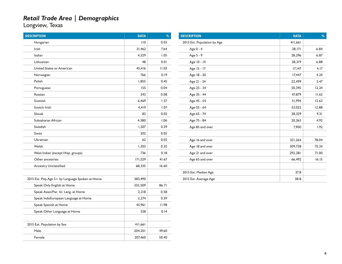Longview, Texas

| <b>DESCRIPTION</b>                              | <b>DATA</b> | $\frac{9}{6}$ | <b>DESCRIPTION</b>          | <b>DATA</b> | $\frac{9}{6}$ |
|-------------------------------------------------|-------------|---------------|-----------------------------|-------------|---------------|
| Hungarian                                       | 110         | 0.03          | 2015 Est. Population by Age | 411,661     |               |
| Irish                                           | 31,462      | 7.64          | Age 0 - 4                   | 28,171      | 6.84          |
| Italian                                         | 4,329       | 1.05          | Age 5 - 9                   | 28,296      | 6.87          |
| Lithuanian                                      | 48          | 0.01          | Age 10 - 14                 | 28,319      | 6.88          |
| United States or American                       | 45,416      | 11.03         | Age 15 - 17                 | 17,147      | 4.17          |
| Norwegian                                       | 766         | 0.19          | Age 18 - 20                 | 17,447      | 4.24          |
| Polish                                          | 1,855       | 0.45          | Age 21 - 24                 | 22,499      | 5.47          |
| Portuguese                                      | 155         | 0.04          | Age 25 - 34                 | 50,395      | 12.24         |
| Russian                                         | 343         | 0.08          | Age 35 - 44                 | 47,879      | II.63         |
| Scottish                                        | 6,469       | 1.57          | Age 45 - 54                 | 51,994      | 12.63         |
| Scotch-Irish                                    | 4,419       | 1.07          | Age 55 - 64                 | 53,022      | 12.88         |
| Slovak                                          | 83          | 0.02          | Age 65 - 74                 | 38,329      | 9.31          |
| Subsaharan African                              | 4,380       | 1.06          | Age 75 - 84                 | 20,263      | 4.92          |
| Swedish                                         | 1,207       | 0.29          | Age 85 and over             | 7,900       | 1.92          |
| Swiss                                           | 202         | 0.05          |                             |             |               |
| Ukrainian                                       | 62          | 0.02          | Age 16 and over             | 321,264     | 78.04         |
| Welsh                                           | 1,303       | 0.32          | Age 18 and over             | 309,728     | 75.24         |
| West Indian (except Hisp. groups)               | 736         | 0.18          | Age 21 and over             | 292,281     | 71.00         |
| Other ancestries                                | 171,529     | 41.67         | Age 65 and over             | 66,492      | 16.15         |
| Ancestry Unclassified                           | 68,335      | 16.60         |                             |             |               |
|                                                 |             |               | 2015 Est. Median Age        | 37.8        |               |
| 2015 Est. Pop Age 5+ by Language Spoken at Home | 383,490     |               | 2015 Est. Average Age       | 38.8        |               |
| Speak Only English at Home                      | 332,509     | 86.71         |                             |             |               |
| Speak Asian/Pac. Isl. Lang. at Home             | 2,218       | 0.58          |                             |             |               |
| Speak IndoEuropean Language at Home             | 2,274       | 0.59          |                             |             |               |
| Speak Spanish at Home                           | 45,961      | 11.98         |                             |             |               |
| Speak Other Language at Home                    | 528         | 0.14          |                             |             |               |
|                                                 |             |               |                             |             |               |
| 2015 Est. Population by Sex                     | 411,661     |               |                             |             |               |
| Male                                            | 204,201     | 49.60         |                             |             |               |
| Female                                          | 207,460     | 50.40         |                             |             |               |

 $\overline{\phantom{a}}$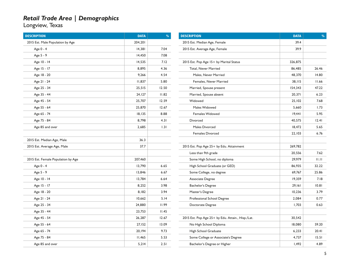| <b>DESCRIPTION</b>                 | <b>DATA</b> | $\frac{0}{0}$ |
|------------------------------------|-------------|---------------|
| 2015 Est. Male Population by Age   | 204,201     |               |
| Age 0 - 4                          | 14,381      | 7.04          |
| Age 5 - 9                          | 14,450      | 7.08          |
| Age 10 - 14                        | 14,535      | 7.12          |
| Age 15 - 17                        | 8,895       | 4.36          |
| Age 18 - 20                        | 9,266       | 4.54          |
| Age 21 - 24                        | 11,837      | 5.80          |
| Age 25 - 34                        | 25,515      | 12.50         |
| Age 35 - 44                        | 24,127      | 11.82         |
| Age 45 - 54                        | 25,707      | 12.59         |
| Age 55 - 64                        | 25,870      | 12.67         |
| Age 65 - 74                        | 18,135      | 8.88          |
| Age 75 - 84                        | 8,798       | 4.31          |
| Age 85 and over                    | 2,685       | 1.31          |
|                                    |             |               |
| 2015 Est. Median Age, Male         | 36.3        |               |
| 2015 Est. Average Age, Male        | 37.7        |               |
|                                    |             |               |
| 2015 Est. Female Population by Age | 207,460     |               |
| Age 0 - 4                          | 13,790      | 6.65          |
| Age 5 - 9                          | 13,846      | 6.67          |
| Age 10 - 14                        | 13,784      | 6.64          |
| Age 15 - 17                        | 8,252       | 3.98          |
| Age 18 - 20                        | 8,182       | 3.94          |
| Age 21 - 24                        | 10,662      | 5.14          |
| Age 25 - 34                        | 24,880      | 11.99         |
| Age 35 - 44                        | 23,753      | 11.45         |
| Age 45 - 54                        | 26,287      | 12.67         |
| Age 55 - 64                        | 27,152      | 13.09         |
| Age 65 - 74                        | 20,194      | 9.73          |
| Age 75 - 84                        | 11,465      | 5.53          |
| Age 85 and over                    | 5,214       | 2.51          |

| <b>DESCRIPTION</b>                                | <b>DATA</b> | $\frac{9}{6}$ |
|---------------------------------------------------|-------------|---------------|
| 2015 Est. Median Age, Female                      | 39.4        |               |
| 2015 Est. Average Age, Female                     | 39.9        |               |
|                                                   |             |               |
| 2015 Est. Pop Age 15+ by Marital Status           | 326,875     |               |
| <b>Total, Never Married</b>                       | 86,485      | 26.46         |
| Males, Never Married                              | 48,370      | 14.80         |
| Females, Never Married                            | 38,115      | 11.66         |
| Married, Spouse present                           | 154,343     | 47.22         |
| Married, Spouse absent                            | 20,371      | 6.23          |
| Widowed                                           | 25,102      | 7.68          |
| Males Widowed                                     | 5,660       | 1.73          |
| <b>Females Widowed</b>                            | 19,441      | 5.95          |
| Divorced                                          | 40,575      | 12.41         |
| Males Divorced                                    | 18,472      | 5.65          |
| <b>Females Divorced</b>                           | 22,103      | 6.76          |
|                                                   |             |               |
| 2015 Est. Pop Age 25+ by Edu. Attainment          | 269,782     |               |
| Less than 9th grade                               | 20,556      | 7.62          |
| Some High School, no diploma                      | 29,979      | 11.11         |
| High School Graduate (or GED)                     | 86,935      | 32.22         |
| Some College, no degree                           | 69,767      | 25.86         |
| Associate Degree                                  | 19,359      | 7.18          |
| Bachelor's Degree                                 | 29,161      | 10.81         |
| Master's Degree                                   | 10,236      | 3.79          |
| Professional School Degree                        | 2,084       | 0.77          |
| Doctorate Degree                                  | 1,703       | 0.63          |
|                                                   |             |               |
| 2015 Est. Pop Age 25+ by Edu. Attain., Hisp./Lat. | 30,542      |               |
| No High School Diploma                            | 18,080      | 59.20         |
| High School Graduate                              | 6,233       | 20.41         |
| Some College or Associate's Degree                | 4,737       | 15.51         |
| Bachelor's Degree or Higher                       | 1,492       | 4.89          |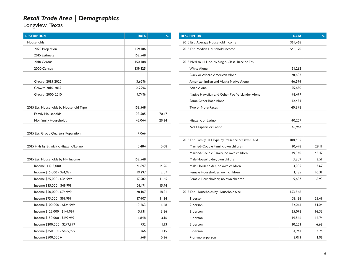| <b>DESCRIPTION</b>                     | <b>DATA</b> | $\%$  |
|----------------------------------------|-------------|-------|
| Households                             |             |       |
| 2020 Projection                        | 159,106     |       |
| 2015 Estimate                          | 153,548     |       |
| 2010 Census                            | 150,108     |       |
| 2000 Census                            | 139,325     |       |
|                                        |             |       |
| Growth 2015-2020                       | 3.62%       |       |
| Growth 2010-2015                       | 2.29%       |       |
| Growth 2000-2010                       | 7.74%       |       |
|                                        |             |       |
| 2015 Est. Households by Household Type | 153,548     |       |
| <b>Family Households</b>               | 108,505     | 70.67 |
| Nonfamily Households                   | 45,044      | 29.34 |
|                                        |             |       |
| 2015 Est. Group Quarters Population    | 14,066      |       |
|                                        |             |       |
| 2015 HHs by Ethnicity, Hispanic/Latino | 15,484      | 10.08 |
|                                        |             |       |
| 2015 Est. Households by HH Income      | 153,548     |       |
| Income $<$ \$15,000                    | 21,897      | 14.26 |
| Income \$15,000 - \$24,999             | 19,297      | 12.57 |
| Income \$25,000 - \$34,999             | 17,582      | II.45 |
| Income \$35,000 - \$49,999             | 24,171      | 15.74 |
| Income \$50,000 - \$74,999             | 28,107      | 18.31 |
| Income \$75,000 - \$99,999             | 17,407      | 11.34 |
| Income \$100,000 - \$124,999           | 10,263      | 6.68  |
| Income \$125,000 - \$149,999           | 5,931       | 3.86  |
| Income \$150,000 - \$199,999           | 4,848       | 3.16  |
| Income \$200,000 - \$249,999           | 1,732       | 1.13  |
| Income \$250,000 - \$499,999           | 1,766       | 1.15  |
| Income \$500,000+                      | 548         | 0.36  |

| <b>DESCRIPTION</b>                                 | <b>DATA</b> | $\frac{0}{0}$ |
|----------------------------------------------------|-------------|---------------|
| 2015 Est. Average Household Income                 | \$61,468    |               |
| 2015 Est. Median Household Income                  | \$46,170    |               |
|                                                    |             |               |
| 2015 Median HH Inc. by Single-Class. Race or Eth.  |             |               |
| <b>White Alone</b>                                 | 51.262      |               |
| <b>Black or African American Alone</b>             | 28,682      |               |
| American Indian and Alaska Native Alone            | 46,594      |               |
| Asian Alone                                        | 55,650      |               |
| Native Hawaiian and Other Pacific Islander Alone   | 48,479      |               |
| Some Other Race Alone                              | 42,454      |               |
| <b>Two or More Races</b>                           | 40,648      |               |
|                                                    |             |               |
| Hispanic or Latino                                 | 40,257      |               |
| Not Hispanic or Latino                             | 46,967      |               |
|                                                    |             |               |
| 2015 Est. Family HH Type by Presence of Own Child. | 108,505     |               |
| Married-Couple Family, own children                | 30,498      | 28.11         |
| Married-Couple Family, no own children             | 49,340      | 45.47         |
| Male Householder, own children                     | 3.809       | 3.51          |
| Male Householder, no own children                  | 3.985       | 3.67          |
| Female Householder, own children                   | 11,185      | 10.31         |
| Female Householder, no own children                | 9,687       | 8.93          |
|                                                    |             |               |
| 2015 Est. Households by Household Size             | 153,548     |               |
| I-person                                           | 39,136      | 25.49         |
| 2-person                                           | 52,261      | 34.04         |
| 3-person                                           | 25,078      | 16.33         |
| 4-person                                           | 19,566      | 12.74         |
| 5-person                                           | 10,253      | 6.68          |
| 6-person                                           | 4,241       | 2.76          |
| 7-or-more-person                                   | 3,013       | 1.96          |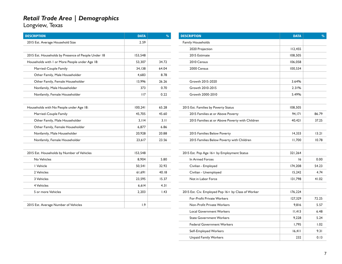Longview, Texas

| <b>DESCRIPTION</b>                                  | <b>DATA</b> | $\frac{9}{6}$ | <b>DESCRIPTION</b>                                 | <b>DATA</b> | $\overline{\mathbf{0}}$ |
|-----------------------------------------------------|-------------|---------------|----------------------------------------------------|-------------|-------------------------|
| 2015 Est. Average Household Size                    | 2.59        |               | Family Households                                  |             |                         |
|                                                     |             |               | 2020 Projection                                    | 112,455     |                         |
| 2015 Est. Households by Presence of People Under 18 | 153,548     |               | 2015 Estimate                                      | 108,505     |                         |
| Households with I or More People under Age 18:      | 53,307      | 34.72         | 2010 Census                                        | 106,058     |                         |
| Married-Couple Family                               | 34,138      | 64.04         | 2000 Census                                        | 100,534     |                         |
| Other Family, Male Householder                      | 4,683       | 8.78          |                                                    |             |                         |
| Other Family, Female Householder                    | 13,996      | 26.26         | Growth 2015-2020                                   | 3.64%       |                         |
| Nonfamily, Male Householder                         | 373         | 0.70          | Growth 2010-2015                                   | 2.31%       |                         |
| Nonfamily, Female Householder                       | 117         | 0.22          | Growth 2000-2010                                   | 5.49%       |                         |
| Households with No People under Age 18:             | 100,241     | 65.28         | 2015 Est. Families by Poverty Status               | 108,505     |                         |
| Married-Couple Family                               | 45.705      | 45.60         | 2015 Families at or Above Poverty                  | 94.171      | 86.79                   |
| Other Family, Male Householder                      | 3,114       | 3.11          | 2015 Families at or Above Poverty with Children    | 40.421      | 37.25                   |
| Other Family, Female Householder                    | 6,877       | 6.86          |                                                    |             |                         |
| Nonfamily, Male Householder                         | 20,928      | 20.88         | 2015 Families Below Poverty                        | 14,333      | 13.21                   |
| Nonfamily, Female Householder                       | 23,617      | 23.56         | 2015 Families Below Poverty with Children          | 11,700      | 10.78                   |
| 2015 Est. Households by Number of Vehicles          | 153,548     |               | 2015 Est. Pop Age 16+ by Employment Status         | 321,264     |                         |
| No Vehicles                                         | 8,904       | 5.80          | In Armed Forces                                    | 16          | 0.00                    |
| I Vehicle                                           | 50,541      | 32.92         | Civilian - Employed                                | 174,208     | 54.23                   |
| 2 Vehicles                                          | 61,691      | 40.18         | Civilian - Unemployed                              | 15,242      | 4.74                    |
| 3 Vehicles                                          | 23,595      | 15.37         | Not in Labor Force                                 | 131,798     | 41.02                   |
| 4 Vehicles                                          | 6,614       | 4.31          |                                                    |             |                         |
| 5 or more Vehicles                                  | 2,203       | 1.43          | 2015 Est. Civ. Employed Pop 16+ by Class of Worker | 176,224     |                         |
|                                                     |             |               | For-Profit Private Workers                         | 127,329     | 72.25                   |
| 2015 Est. Average Number of Vehicles                | 1.9         |               | Non-Profit Private Workers                         | 9,816       | 5.57                    |
|                                                     |             |               | <b>Local Government Workers</b>                    | 11,413      | 6.48                    |

State Government Workers 19,228 5.24 Federal Government Workers 1,795 1.02 Self-Employed Workers 16,411 9.31 Unpaid Family Workers 232 232 0.13

DESCRIPTION DATA %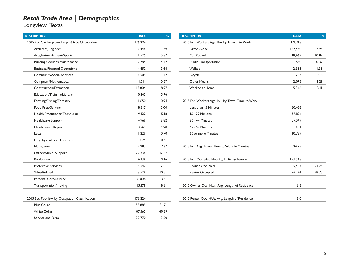| <b>DESCRIPTION</b>                             | <b>DATA</b> | $\frac{9}{6}$ |
|------------------------------------------------|-------------|---------------|
| 2015 Est. Civ. Employed Pop 16+ by Occupation  | 176,224     |               |
| Architect/Engineer                             | 2,446       | 1.39          |
| Arts/Entertainment/Sports                      | 1,525       | 0.87          |
| <b>Building Grounds Maintenance</b>            | 7,784       | 4.42          |
| <b>Business/Financial Operations</b>           | 4.652       | 2.64          |
| Community/Social Services                      | 2,509       | 1.42          |
| Computer/Mathematical                          | 1.011       | 0.57          |
| Construction/Extraction                        | 15.804      | 8.97          |
| Education/Training/Library                     | 10,145      | 5.76          |
| Farming/Fishing/Forestry                       | 1,650       | 0.94          |
| Food Prep/Serving                              | 8,817       | 5.00          |
| Health Practitioner/Technician                 | 9,122       | 5.18          |
| Healthcare Support                             | 4,969       | 2.82          |
| Maintenance Repair                             | 8,769       | 4.98          |
| Legal                                          | 1,229       | 0.70          |
| Life/Physical/Social Science                   | 1,075       | 0.61          |
| Management                                     | 12,987      | 7.37          |
| Office/Admin. Support                          | 22,336      | 12.67         |
| Production                                     | 16, 138     | 9.16          |
| <b>Protective Services</b>                     | 3.542       | 2.01          |
| Sales/Related                                  | 18.526      | 10.51         |
| Personal Care/Service                          | 6,008       | 3.41          |
| <b>Transportation/Moving</b>                   | 15,178      | 8.61          |
|                                                |             |               |
| 2015 Est. Pop 16+ by Occupation Classification | 176,224     |               |
| <b>Blue Collar</b>                             | 55,889      | 31.71         |
| <b>White Collar</b>                            | 87,565      | 49.69         |
| Service and Farm                               | 32,770      | 18.60         |
|                                                |             |               |

| <b>DESCRIPTION</b>                                 | <b>DATA</b> | $\frac{0}{0}$ |
|----------------------------------------------------|-------------|---------------|
| 2015 Est. Workers Age 16+ by Transp. to Work       | 171,718     |               |
| Drove Alone                                        | 142,430     | 82.94         |
| Car Pooled                                         | 18,669      | 10.87         |
| <b>Public Transportation</b>                       | 550         | 0.32          |
| Walked                                             | 2,365       | 1.38          |
| Bicycle                                            | 283         | 0.16          |
| <b>Other Means</b>                                 | 2,075       | 1.21          |
| Worked at Home                                     | 5,346       | 3.11          |
|                                                    |             |               |
| 2015 Est. Workers Age 16+ by Travel Time to Work * |             |               |
| Less than 15 Minutes                               | 60,456      |               |
| 15 - 29 Minutes                                    | 57,824      |               |
| 30 - 44 Minutes                                    | 27,049      |               |
| <b>45 - 59 Minutes</b>                             | 10,011      |               |
| 60 or more Minutes                                 | 10,739      |               |
|                                                    |             |               |
| 2015 Est. Avg. Travel Time to Work in Minutes      | 24.75       |               |
|                                                    |             |               |
| 2015 Est. Occupied Housing Units by Tenure         | 153,548     |               |
| Owner Occupied                                     | 109,407     | 71.25         |
| Renter Occupied                                    | 44,141      | 28.75         |
|                                                    |             |               |
| 2015 Owner Occ. HUs: Avg. Length of Residence      | 16.8        |               |
|                                                    |             |               |
| 2015 Renter Occ. HUs: Avg. Length of Residence     | 8.0         |               |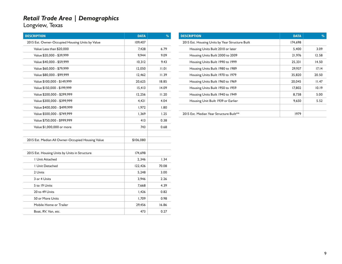| <b>DESCRIPTION</b>                                | <b>DATA</b> | $\frac{9}{0}$ |
|---------------------------------------------------|-------------|---------------|
| 2015 Est. Owner-Occupied Housing Units by Value   | 109,407     |               |
| Value Less than \$20,000                          | 7,428       | 6.79          |
| Value \$20,000 - \$39,999                         | 9.944       | 9.09          |
| Value \$40,000 - \$59,999                         | 10,312      | 9.43          |
| Value \$60,000 - \$79,999                         | 12,050      | 11.01         |
| Value \$80,000 - \$99,999                         | 12,462      | 11.39         |
| Value \$100,000 - \$149,999                       | 20,625      | 18.85         |
| Value \$150,000 - \$199,999                       | 15,413      | 14.09         |
| Value \$200,000 - \$299,999                       | 12,256      | 11.20         |
| Value \$300,000 - \$399,999                       | 4,421       | 4.04          |
| Value \$400,000 - \$499,999                       | 1,972       | 1.80          |
| Value \$500,000 - \$749,999                       | 1,369       | 1.25          |
| Value \$750,000 - \$999,999                       | 413         | 0.38          |
| Value \$1,000,000 or more                         | 743         | 0.68          |
| 2015 Est. Median All Owner-Occupied Housing Value | \$106,080   |               |
| 2015 Est. Housing Units by Units in Structure     | 174,698     |               |
| <b>I Unit Attached</b>                            | 2,346       | 1.34          |
| <b>I Unit Detached</b>                            | 122,426     | 70.08         |
| 2 Units                                           | 5,248       | 3.00          |
| 3 or 4 Units                                      | 3,946       | 2.26          |
| 5 to 19 Units                                     | 7,668       | 4.39          |
| 20 to 49 Units                                    | 1,426       | 0.82          |
| 50 or More Units                                  | 1,709       | 0.98          |
| Mobile Home or Trailer                            | 29,456      | 16.86         |
| Boat, RV, Van, etc.                               | 473         | 0.27          |

| <b>DESCRIPTION</b>                              | <b>DATA</b> | $\frac{0}{0}$ |
|-------------------------------------------------|-------------|---------------|
| 2015 Est. Housing Units by Year Structure Built | 174,698     |               |
| Housing Units Built 2010 or later               | 5.400       | 3.09          |
| Housing Units Built 2000 to 2009                | 21,976      | 12.58         |
| Housing Units Built 1990 to 1999                | 25,331      | 14.50         |
| Housing Units Built 1980 to 1989                | 29,937      | 17.14         |
| Housing Units Built 1970 to 1979                | 35,820      | 20.50         |
| Housing Units Built 1960 to 1969                | 20,045      | 11.47         |
| Housing Units Built 1950 to 1959                | 17,802      | 10.19         |
| Housing Units Built 1940 to 1949                | 8,738       | 5.00          |
| Housing Unit Built 1939 or Earlier              | 9,650       | 5.52          |
|                                                 |             |               |
| 2015 Est. Median Year Structure Built**         | 1979        |               |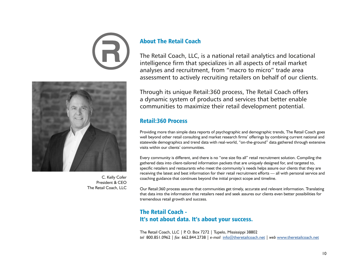



C. Kelly Cofer President & CEO The Retail Coach, LLC

#### About The Retail Coach

The Retail Coach, LLC, is a national retail analytics and locational intelligence firm that specializes in all aspects of retail market analyses and recruitment, from "macro to micro" trade area assessment to actively recruiting retailers on behalf of our clients.

Through its unique Retail:360 process, The Retail Coach offers a dynamic system of products and services that better enable communities to maximize their retail development potential.

#### Retail:360 Process

Providing more than simple data reports of psychographic and demographic trends, The Retail Coach goes well beyond other retail consulting and market research firms' offerings by combining current national and statewide demographics and trend data with real-world, "on-the-ground" data gathered through extensive visits within our clients' communities.

Every community is different, and there is no "one size fits all" retail recruitment solution. Compiling the gathered data into client-tailored information packets that are uniquely designed for, and targeted to, specific retailers and restaurants who meet the community's needs helps assure our clients that they are receiving the latest and best information for their retail recruitment efforts — all with personal service and coaching guidance that continues beyond the initial project scope and timeline.

Our Retail:360 process assures that communities get timely, accurate and relevant information. Translating that data into the information that retailers need and seek assures our clients even better possibilities for tremendous retail growth and success.

### The Retail Coach - It's not about data. It's about your success.

The Retail Coach, LLC | P. O. Box 7272 | Tupelo, Mississippi 38802 *tel* 800.851.0962 | *fax* 662.844.2738 | *e-mail* info@theretailcoach.net | *web* www.theretailcoach.net